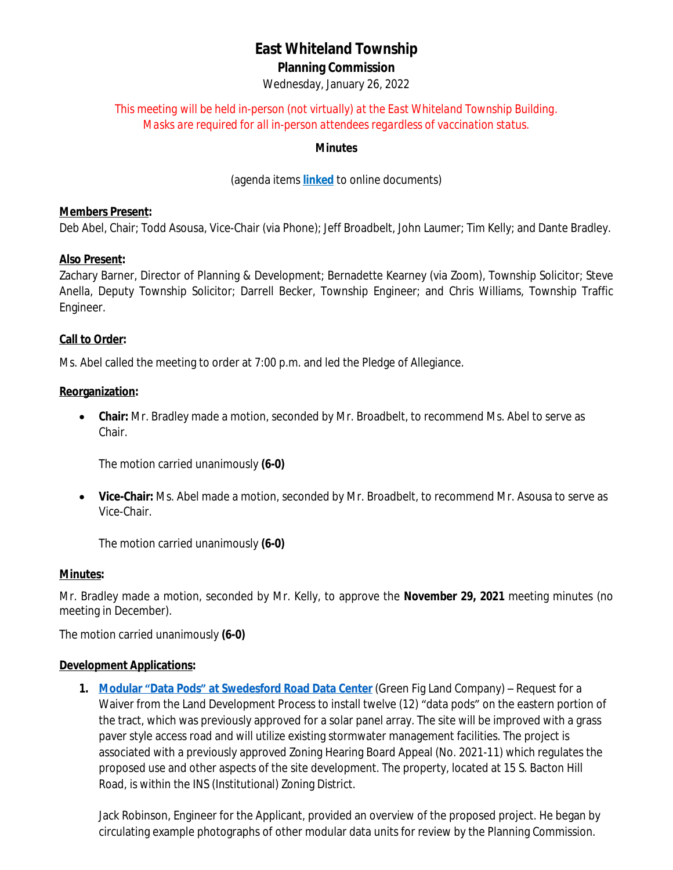# **East Whiteland Township Planning Commission**

Wednesday, January 26, 2022

## *This meeting will be held in-person (not virtually) at the East Whiteland Township Building. Masks are required for all in-person attendees regardless of vaccination status.*

### **Minutes**

(agenda items **[linked](http://www.eastwhiteland.org/)** to online documents)

## **Members Present:**

Deb Abel, Chair; Todd Asousa, Vice-Chair (via Phone); Jeff Broadbelt, John Laumer; Tim Kelly; and Dante Bradley.

## **Also Present:**

Zachary Barner, Director of Planning & Development; Bernadette Kearney (via Zoom), Township Solicitor; Steve Anella, Deputy Township Solicitor; Darrell Becker, Township Engineer; and Chris Williams, Township Traffic Engineer.

#### **Call to Order:**

Ms. Abel called the meeting to order at 7:00 p.m. and led the Pledge of Allegiance.

#### **Reorganization:**

 **Chair:** Mr. Bradley made a motion, seconded by Mr. Broadbelt, to recommend Ms. Abel to serve as Chair.

The motion carried unanimously **(6-0)**

 **Vice-Chair:** Ms. Abel made a motion, seconded by Mr. Broadbelt, to recommend Mr. Asousa to serve as Vice-Chair.

The motion carried unanimously **(6-0)**

#### **Minutes:**

Mr. Bradley made a motion, seconded by Mr. Kelly, to approve the **November 29, 2021** meeting minutes (no meeting in December).

The motion carried unanimously **(6-0)**

#### **Development Applications:**

**1. [Modular](https://www.eastwhiteland.org/DocumentCenter/Index/308) "[Data Pods](https://www.eastwhiteland.org/DocumentCenter/Index/308)["](https://www.eastwhiteland.org/DocumentCenter/Index/308) [at Swedesford Road Data Center](https://www.eastwhiteland.org/DocumentCenter/Index/308)** [\(Green Fig Land Company\)](https://www.eastwhiteland.org/DocumentCenter/Index/308) – [Request for a](https://www.eastwhiteland.org/DocumentCenter/Index/308)  [Waiver from the Land Development Process to install twelve \(12\)](https://www.eastwhiteland.org/DocumentCenter/Index/308) "data pods" [on the eastern portion of](https://www.eastwhiteland.org/DocumentCenter/Index/308)  [the tract, which was previously approved for a solar panel array. The site will be improved with a grass](https://www.eastwhiteland.org/DocumentCenter/Index/308)  [paver style access road and will utilize existing stormwater management facilities. The project is](https://www.eastwhiteland.org/DocumentCenter/Index/308)  [associated with a previously approved Zoning Hearing Board Appeal \(No. 2021-11\)](https://www.eastwhiteland.org/DocumentCenter/Index/308) [which regulates the](https://www.eastwhiteland.org/DocumentCenter/Index/308)  [proposed use and other aspects of the site development. The property, located at 15 S. Bacton Hill](https://www.eastwhiteland.org/DocumentCenter/Index/308)  [Road, is within the INS \(Institutional\) Zoning District.](https://www.eastwhiteland.org/DocumentCenter/Index/308)

[Jack Robinson, Engineer for the Applicant, provided an overview of the proposed project. He began by](https://www.eastwhiteland.org/DocumentCenter/Index/308)  [circulating example photographs of other modular data units for review by the Planning Commission.](https://www.eastwhiteland.org/DocumentCenter/Index/308)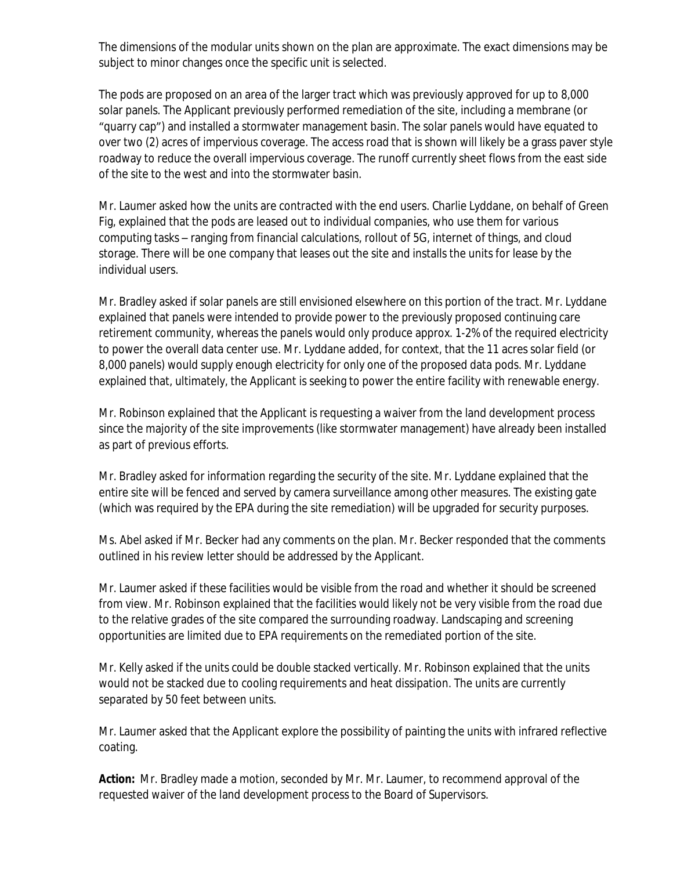The dimensions of the modular units shown on the plan are approximate. The exact dimensions may be subject to minor changes once the specific unit is selected.

The pods are proposed on an area of the larger tract which was previously approved for up to 8,000 solar panels. The Applicant previously performed remediation of the site, including a membrane (or "quarry cap") and installed a stormwater management basin. The solar panels would have equated to over two (2) acres of impervious coverage. The access road that is shown will likely be a grass paver style roadway to reduce the overall impervious coverage. The runoff currently sheet flows from the east side of the site to the west and into the stormwater basin.

Mr. Laumer asked how the units are contracted with the end users. Charlie Lyddane, on behalf of Green Fig, explained that the pods are leased out to individual companies, who use them for various computing tasks – ranging from financial calculations, rollout of 5G, internet of things, and cloud storage. There will be one company that leases out the site and installs the units for lease by the individual users.

Mr. Bradley asked if solar panels are still envisioned elsewhere on this portion of the tract. Mr. Lyddane explained that panels were intended to provide power to the previously proposed continuing care retirement community, whereas the panels would only produce approx. 1-2% of the required electricity to power the overall data center use. Mr. Lyddane added, for context, that the 11 acres solar field (or 8,000 panels) would supply enough electricity for only one of the proposed data pods. Mr. Lyddane explained that, ultimately, the Applicant is seeking to power the entire facility with renewable energy.

Mr. Robinson explained that the Applicant is requesting a waiver from the land development process since the majority of the site improvements (like stormwater management) have already been installed as part of previous efforts.

Mr. Bradley asked for information regarding the security of the site. Mr. Lyddane explained that the entire site will be fenced and served by camera surveillance among other measures. The existing gate (which was required by the EPA during the site remediation) will be upgraded for security purposes.

Ms. Abel asked if Mr. Becker had any comments on the plan. Mr. Becker responded that the comments outlined in his review letter should be addressed by the Applicant.

Mr. Laumer asked if these facilities would be visible from the road and whether it should be screened from view. Mr. Robinson explained that the facilities would likely not be very visible from the road due to the relative grades of the site compared the surrounding roadway. Landscaping and screening opportunities are limited due to EPA requirements on the remediated portion of the site.

Mr. Kelly asked if the units could be double stacked vertically. Mr. Robinson explained that the units would not be stacked due to cooling requirements and heat dissipation. The units are currently separated by 50 feet between units.

Mr. Laumer asked that the Applicant explore the possibility of painting the units with infrared reflective coating.

**Action:** Mr. Bradley made a motion, seconded by Mr. Mr. Laumer, to recommend approval of the requested waiver of the land development process to the Board of Supervisors.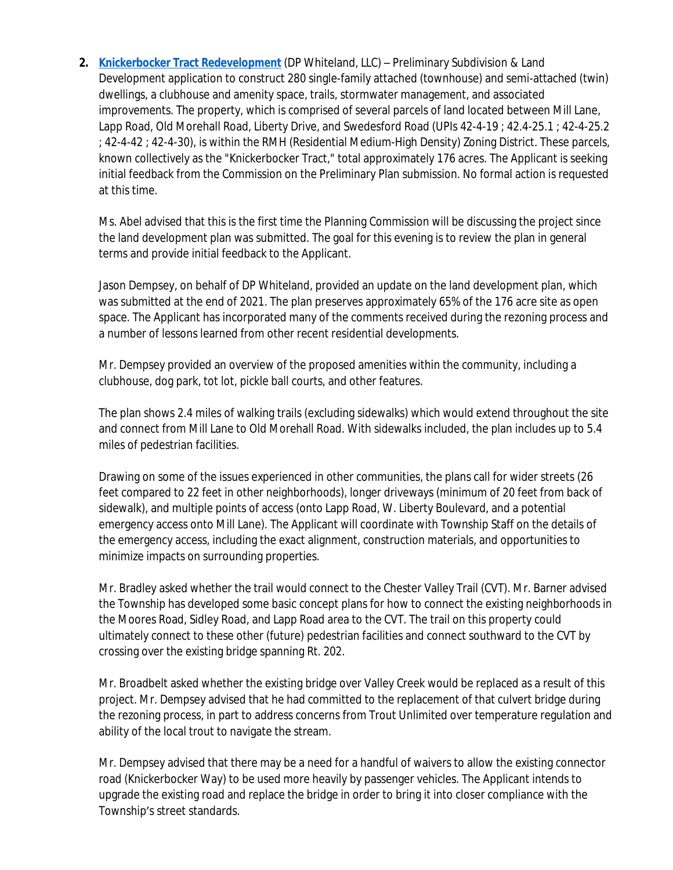**2. [Knickerbocker Tract Redevelopment](https://www.eastwhiteland.org/DocumentCenter/Index/307)** (DP Whiteland, LLC) – Preliminary Subdivision & Land Development application to construct 280 single-family attached (townhouse) and semi-attached (twin) dwellings, a clubhouse and amenity space, trails, stormwater management, and associated improvements. The property, which is comprised of several parcels of land located between Mill Lane, Lapp Road, Old Morehall Road, Liberty Drive, and Swedesford Road (UPIs 42-4-19 ; 42.4-25.1 ; 42-4-25.2 ; 42-4-42 ; 42-4-30), is within the RMH (Residential Medium-High Density) Zoning District. These parcels, known collectively as the "Knickerbocker Tract," total approximately 176 acres. The Applicant is seeking initial feedback from the Commission on the Preliminary Plan submission. No formal action is requested at this time.

Ms. Abel advised that this is the first time the Planning Commission will be discussing the project since the land development plan was submitted. The goal for this evening is to review the plan in general terms and provide initial feedback to the Applicant.

Jason Dempsey, on behalf of DP Whiteland, provided an update on the land development plan, which was submitted at the end of 2021. The plan preserves approximately 65% of the 176 acre site as open space. The Applicant has incorporated many of the comments received during the rezoning process and a number of lessons learned from other recent residential developments.

Mr. Dempsey provided an overview of the proposed amenities within the community, including a clubhouse, dog park, tot lot, pickle ball courts, and other features.

The plan shows 2.4 miles of walking trails (excluding sidewalks) which would extend throughout the site and connect from Mill Lane to Old Morehall Road. With sidewalks included, the plan includes up to 5.4 miles of pedestrian facilities.

Drawing on some of the issues experienced in other communities, the plans call for wider streets (26 feet compared to 22 feet in other neighborhoods), longer driveways (minimum of 20 feet from back of sidewalk), and multiple points of access (onto Lapp Road, W. Liberty Boulevard, and a potential emergency access onto Mill Lane). The Applicant will coordinate with Township Staff on the details of the emergency access, including the exact alignment, construction materials, and opportunities to minimize impacts on surrounding properties.

Mr. Bradley asked whether the trail would connect to the Chester Valley Trail (CVT). Mr. Barner advised the Township has developed some basic concept plans for how to connect the existing neighborhoods in the Moores Road, Sidley Road, and Lapp Road area to the CVT. The trail on this property could ultimately connect to these other (future) pedestrian facilities and connect southward to the CVT by crossing over the existing bridge spanning Rt. 202.

Mr. Broadbelt asked whether the existing bridge over Valley Creek would be replaced as a result of this project. Mr. Dempsey advised that he had committed to the replacement of that culvert bridge during the rezoning process, in part to address concerns from Trout Unlimited over temperature regulation and ability of the local trout to navigate the stream.

Mr. Dempsey advised that there may be a need for a handful of waivers to allow the existing connector road (Knickerbocker Way) to be used more heavily by passenger vehicles. The Applicant intends to upgrade the existing road and replace the bridge in order to bring it into closer compliance with the Township's street standards.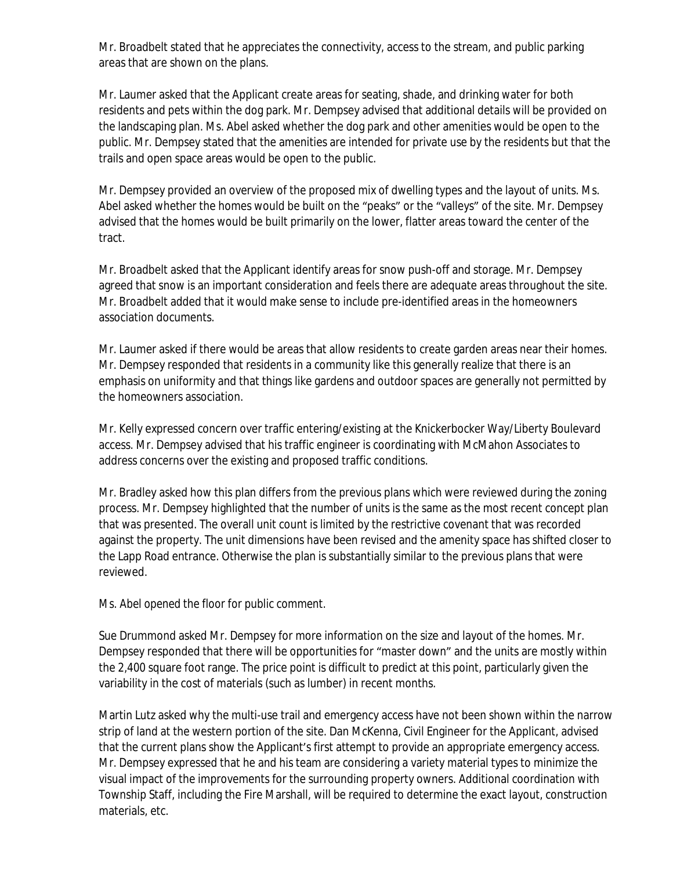Mr. Broadbelt stated that he appreciates the connectivity, access to the stream, and public parking areas that are shown on the plans.

Mr. Laumer asked that the Applicant create areas for seating, shade, and drinking water for both residents and pets within the dog park. Mr. Dempsey advised that additional details will be provided on the landscaping plan. Ms. Abel asked whether the dog park and other amenities would be open to the public. Mr. Dempsey stated that the amenities are intended for private use by the residents but that the trails and open space areas would be open to the public.

Mr. Dempsey provided an overview of the proposed mix of dwelling types and the layout of units. Ms. Abel asked whether the homes would be built on the "peaks" or the "valleys" of the site. Mr. Dempsey advised that the homes would be built primarily on the lower, flatter areas toward the center of the tract.

Mr. Broadbelt asked that the Applicant identify areas for snow push-off and storage. Mr. Dempsey agreed that snow is an important consideration and feels there are adequate areas throughout the site. Mr. Broadbelt added that it would make sense to include pre-identified areas in the homeowners association documents.

Mr. Laumer asked if there would be areas that allow residents to create garden areas near their homes. Mr. Dempsey responded that residents in a community like this generally realize that there is an emphasis on uniformity and that things like gardens and outdoor spaces are generally not permitted by the homeowners association.

Mr. Kelly expressed concern over traffic entering/existing at the Knickerbocker Way/Liberty Boulevard access. Mr. Dempsey advised that his traffic engineer is coordinating with McMahon Associates to address concerns over the existing and proposed traffic conditions.

Mr. Bradley asked how this plan differs from the previous plans which were reviewed during the zoning process. Mr. Dempsey highlighted that the number of units is the same as the most recent concept plan that was presented. The overall unit count is limited by the restrictive covenant that was recorded against the property. The unit dimensions have been revised and the amenity space has shifted closer to the Lapp Road entrance. Otherwise the plan is substantially similar to the previous plans that were reviewed.

# *Ms. Abel opened the floor for public comment.*

Sue Drummond asked Mr. Dempsey for more information on the size and layout of the homes. Mr. Dempsey responded that there will be opportunities for "master down" and the units are mostly within the 2,400 square foot range. The price point is difficult to predict at this point, particularly given the variability in the cost of materials (such as lumber) in recent months.

Martin Lutz asked why the multi-use trail and emergency access have not been shown within the narrow strip of land at the western portion of the site. Dan McKenna, Civil Engineer for the Applicant, advised that the current plans show the Applicant's first attempt to provide an appropriate emergency access. Mr. Dempsey expressed that he and his team are considering a variety material types to minimize the visual impact of the improvements for the surrounding property owners. Additional coordination with Township Staff, including the Fire Marshall, will be required to determine the exact layout, construction materials, etc.